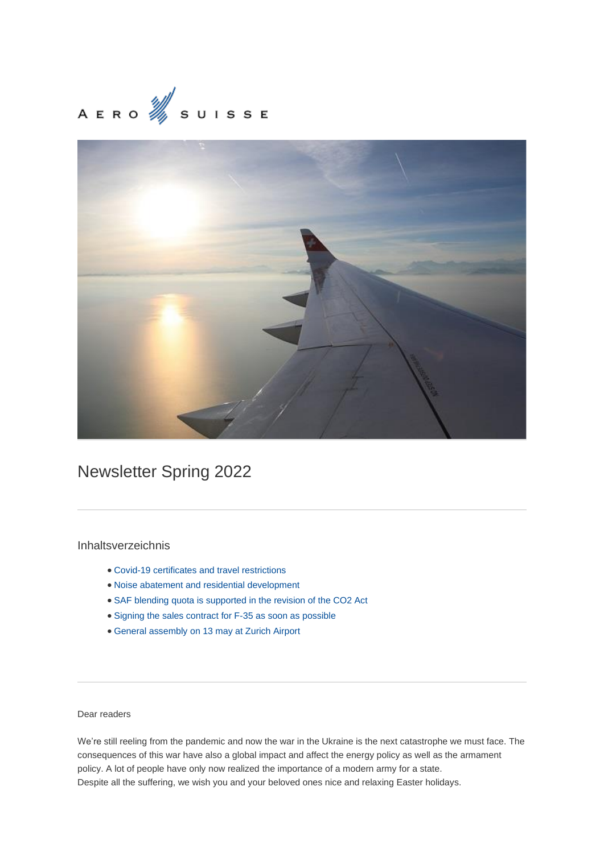# AERO  $\frac{1}{2}$  SUISSE



# Newsletter Spring 2022

# Inhaltsverzeichnis

- Covid-19 certificates and travel restrictions
- Noise abatement and residential development
- SAF blending quota is supported in the revision of the CO2 Act
- Signing the sales contract for F-35 as soon as possible
- General assembly on 13 may at Zurich Airport

### Dear readers

We're still reeling from the pandemic and now the war in the Ukraine is the next catastrophe we must face. The consequences of this war have also a global impact and affect the energy policy as well as the armament policy. A lot of people have only now realized the importance of a modern army for a state. Despite all the suffering, we wish you and your beloved ones nice and relaxing Easter holidays.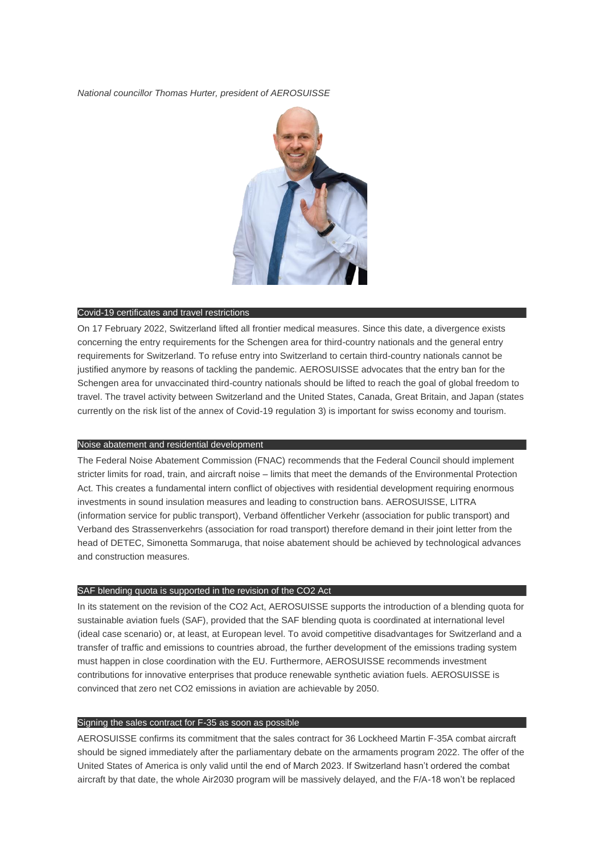*National councillor Thomas Hurter, president of AEROSUISSE*



#### Covid-19 certificates and travel restrictions

On 17 February 2022, Switzerland lifted all frontier medical measures. Since this date, a divergence exists concerning the entry requirements for the Schengen area for third-country nationals and the general entry requirements for Switzerland. To refuse entry into Switzerland to certain third-country nationals cannot be justified anymore by reasons of tackling the pandemic. AEROSUISSE advocates that the entry ban for the Schengen area for unvaccinated third-country nationals should be lifted to reach the goal of global freedom to travel. The travel activity between Switzerland and the United States, Canada, Great Britain, and Japan (states currently on the risk list of the annex of Covid-19 regulation 3) is important for swiss economy and tourism.

#### Noise abatement and residential development

The Federal Noise Abatement Commission (FNAC) recommends that the Federal Council should implement stricter limits for road, train, and aircraft noise – limits that meet the demands of the Environmental Protection Act. This creates a fundamental intern conflict of objectives with residential development requiring enormous investments in sound insulation measures and leading to construction bans. AEROSUISSE, LITRA (information service for public transport), Verband öffentlicher Verkehr (association for public transport) and Verband des Strassenverkehrs (association for road transport) therefore demand in their joint letter from the head of DETEC, Simonetta Sommaruga, that noise abatement should be achieved by technological advances and construction measures.

#### SAF blending quota is supported in the revision of the CO2 Act

In its statement on the revision of the CO2 Act, AEROSUISSE supports the introduction of a blending quota for sustainable aviation fuels (SAF), provided that the SAF blending quota is coordinated at international level (ideal case scenario) or, at least, at European level. To avoid competitive disadvantages for Switzerland and a transfer of traffic and emissions to countries abroad, the further development of the emissions trading system must happen in close coordination with the EU. Furthermore, AEROSUISSE recommends investment contributions for innovative enterprises that produce renewable synthetic aviation fuels. AEROSUISSE is convinced that zero net CO2 emissions in aviation are achievable by 2050.

#### Signing the sales contract for F-35 as soon as possible

AEROSUISSE confirms its commitment that the sales contract for 36 Lockheed Martin F-35A combat aircraft should be signed immediately after the parliamentary debate on the armaments program 2022. The offer of the United States of America is only valid until the end of March 2023. If Switzerland hasn't ordered the combat aircraft by that date, the whole Air2030 program will be massively delayed, and the F/A-18 won't be replaced